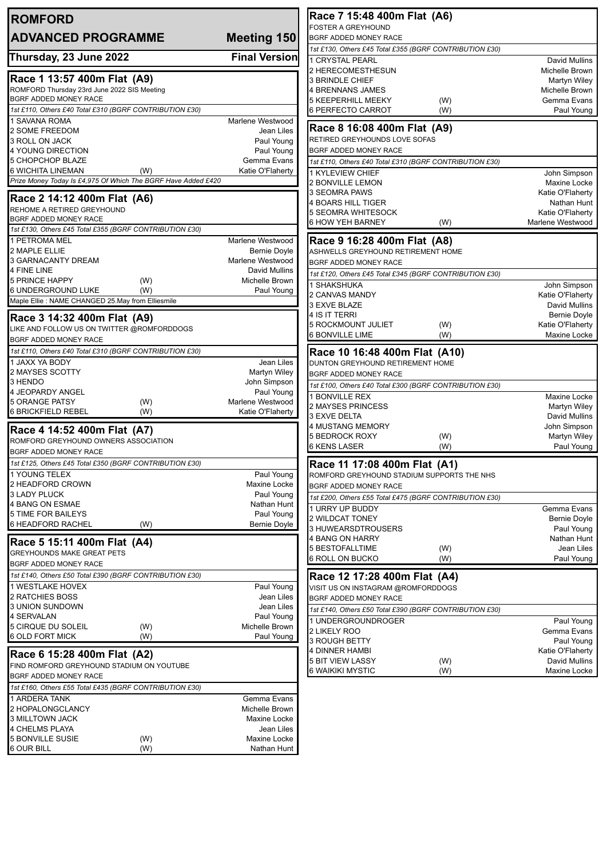| <b>ROMFORD</b>                                                              |                                   | Race 7 15:48 400m Flat (A6)                                  |                                      |
|-----------------------------------------------------------------------------|-----------------------------------|--------------------------------------------------------------|--------------------------------------|
| <b>ADVANCED PROGRAMME</b>                                                   | <b>Meeting 150</b>                | <b>FOSTER A GREYHOUND</b><br>BGRF ADDED MONEY RACE           |                                      |
|                                                                             |                                   | 1st £130, Others £45 Total £355 (BGRF CONTRIBUTION £30)      |                                      |
| Thursday, 23 June 2022                                                      | <b>Final Version</b>              | 1 CRYSTAL PEARL                                              | David Mullins                        |
| Race 1 13:57 400m Flat (A9)                                                 |                                   | 2 HERECOMESTHESUN                                            | Michelle Brown                       |
| ROMFORD Thursday 23rd June 2022 SIS Meeting                                 |                                   | 3 BRINDLE CHIEF<br><b>4 BRENNANS JAMES</b>                   | Martyn Wiley<br>Michelle Brown       |
| BGRF ADDED MONEY RACE                                                       |                                   | <b>5 KEEPERHILL MEEKY</b><br>(W)                             | Gemma Evans                          |
| 1st £110, Others £40 Total £310 (BGRF CONTRIBUTION £30)                     |                                   | 6 PERFECTO CARROT<br>(W)                                     | Paul Young                           |
| 1 SAVANA ROMA                                                               | Marlene Westwood                  |                                                              |                                      |
| 2 SOME FREEDOM                                                              | Jean Liles                        | Race 8 16:08 400m Flat (A9)<br>RETIRED GREYHOUNDS LOVE SOFAS |                                      |
| 3 ROLL ON JACK<br>4 YOUNG DIRECTION                                         | Paul Young<br>Paul Young          | BGRF ADDED MONEY RACE                                        |                                      |
| 5 CHOPCHOP BLAZE                                                            | Gemma Evans                       | 1st £110, Others £40 Total £310 (BGRF CONTRIBUTION £30)      |                                      |
| 6 WICHITA LINEMAN<br>(W)                                                    | Katie O'Flaherty                  | 1 KYLEVIEW CHIEF                                             | John Simpson                         |
| Prize Money Today Is £4,975 Of Which The BGRF Have Added £420               |                                   | 2 BONVILLE LEMON                                             | Maxine Locke                         |
| Race 2 14:12 400m Flat (A6)                                                 |                                   | 3 SEOMRA PAWS                                                | Katie O'Flaherty                     |
| REHOME A RETIRED GREYHOUND                                                  |                                   | 4 BOARS HILL TIGER                                           | Nathan Hunt                          |
| BGRF ADDED MONEY RACE                                                       |                                   | 5 SEOMRA WHITESOCK<br>6 HOW YEH BARNEY<br>(W)                | Katie O'Flaherty<br>Marlene Westwood |
| 1st £130, Others £45 Total £355 (BGRF CONTRIBUTION £30)                     |                                   |                                                              |                                      |
| 1 PETROMA MEL                                                               | Marlene Westwood                  | Race 9 16:28 400m Flat (A8)                                  |                                      |
| 2 MAPLE ELLIE                                                               | <b>Bernie Doyle</b>               | ASHWELLS GREYHOUND RETIREMENT HOME                           |                                      |
| 3 GARNACANTY DREAM<br>4 FINE LINE                                           | Marlene Westwood<br>David Mullins | BGRF ADDED MONEY RACE                                        |                                      |
| <b>5 PRINCE HAPPY</b><br>(W)                                                | Michelle Brown                    | 1st £120, Others £45 Total £345 (BGRF CONTRIBUTION £30)      |                                      |
| 6 UNDERGROUND LUKE<br>(W)                                                   | Paul Young                        | 1 SHAKSHUKA<br>2 CANVAS MANDY                                | John Simpson<br>Katie O'Flaherty     |
| Maple Ellie : NAME CHANGED 25.May from Elliesmile                           |                                   | 3 EXVE BLAZE                                                 | David Mullins                        |
| Race 3 14:32 400m Flat (A9)                                                 |                                   | 4 IS IT TERRI                                                | <b>Bernie Doyle</b>                  |
| LIKE AND FOLLOW US ON TWITTER @ROMFORDDOGS                                  |                                   | 5 ROCKMOUNT JULIET<br>(W)                                    | Katie O'Flaherty                     |
| BGRF ADDED MONEY RACE                                                       |                                   | 6 BONVILLE LIME<br>(W)                                       | Maxine Locke                         |
| 1st £110, Others £40 Total £310 (BGRF CONTRIBUTION £30)                     |                                   | Race 10 16:48 400m Flat (A10)                                |                                      |
| 1 JAXX YA BODY                                                              | Jean Liles                        | DUNTON GREYHOUND RETIREMENT HOME                             |                                      |
| 2 MAYSES SCOTTY                                                             | <b>Martyn Wiley</b>               | BGRF ADDED MONEY RACE                                        |                                      |
| 3 HENDO<br>4 JEOPARDY ANGEL                                                 | John Simpson<br>Paul Young        | 1st £100, Others £40 Total £300 (BGRF CONTRIBUTION £30)      |                                      |
| <b>5 ORANGE PATSY</b><br>(W)                                                | Marlene Westwood                  | 1 BONVILLE REX                                               | Maxine Locke                         |
| <b>6 BRICKFIELD REBEL</b><br>(W)                                            | Katie O'Flaherty                  | 2 MAYSES PRINCESS<br>3 EXVE DELTA                            | Martyn Wiley<br>David Mullins        |
|                                                                             |                                   | 4 MUSTANG MEMORY                                             | John Simpson                         |
| Race 4 14:52 400m Flat (A7)<br>ROMFORD GREYHOUND OWNERS ASSOCIATION         |                                   | <b>5 BEDROCK ROXY</b><br>(W)                                 | Martyn Wiley                         |
| BGRF ADDED MONEY RACE                                                       |                                   | 6 KENS LASER<br>(W)                                          | Paul Young                           |
| 1st £125, Others £45 Total £350 (BGRF CONTRIBUTION £30)                     |                                   | Race 11 17:08 400m Flat (A1)                                 |                                      |
| 1 YOUNG TELEX                                                               | Paul Young                        | ROMFORD GREYHOUND STADIUM SUPPORTS THE NHS                   |                                      |
| 2 HEADFORD CROWN                                                            | Maxine Locke                      | BGRF ADDED MONEY RACE                                        |                                      |
| 3 LADY PLUCK                                                                | Paul Young                        | 1st £200, Others £55 Total £475 (BGRF CONTRIBUTION £30)      |                                      |
| 4 BANG ON ESMAE                                                             | Nathan Hunt                       | 1 URRY UP BUDDY                                              | Gemma Evans                          |
| <b>5 TIME FOR BAILEYS</b><br>6 HEADFORD RACHEL<br>(W)                       | Paul Young<br>Bernie Doyle        | 2 WILDCAT TONEY                                              | Bernie Doyle                         |
|                                                                             |                                   | 3 HUWEARSDTROUSERS<br>4 BANG ON HARRY                        | Paul Young                           |
| Race 5 15:11 400m Flat (A4)                                                 |                                   | 5 BESTOFALLTIME<br>(W)                                       | Nathan Hunt<br>Jean Liles            |
| <b>GREYHOUNDS MAKE GREAT PETS</b>                                           |                                   | 6 ROLL ON BUCKO<br>(W)                                       | Paul Young                           |
| BGRF ADDED MONEY RACE                                                       |                                   |                                                              |                                      |
| 1st £140, Others £50 Total £390 (BGRF CONTRIBUTION £30)<br>1 WESTLAKE HOVEX | Paul Young                        | Race 12 17:28 400m Flat (A4)                                 |                                      |
| 2 RATCHIES BOSS                                                             | Jean Liles                        | VISIT US ON INSTAGRAM @ROMFORDDOGS<br>BGRF ADDED MONEY RACE  |                                      |
| 3 UNION SUNDOWN                                                             | Jean Liles                        | 1st £140, Others £50 Total £390 (BGRF CONTRIBUTION £30)      |                                      |
| 4 SERVALAN                                                                  | Paul Young                        | 1 UNDERGROUNDROGER                                           | Paul Young                           |
| 5 CIRQUE DU SOLEIL<br>(W)                                                   | Michelle Brown                    | 2 LIKELY ROO                                                 | Gemma Evans                          |
| 6 OLD FORT MICK<br>(W)                                                      | Paul Young                        | 3 ROUGH BETTY                                                | Paul Young                           |
| Race 6 15:28 400m Flat (A2)                                                 |                                   | 4 DINNER HAMBI                                               | Katie O'Flaherty                     |
| FIND ROMFORD GREYHOUND STADIUM ON YOUTUBE                                   |                                   | 5 BIT VIEW LASSY<br>(W)<br>6 WAIKIKI MYSTIC                  | David Mullins<br>Maxine Locke        |
| BGRF ADDED MONEY RACE                                                       |                                   | (W)                                                          |                                      |
| 1st £160, Others £55 Total £435 (BGRF CONTRIBUTION £30)                     |                                   |                                                              |                                      |
| 1 ARDERA TANK                                                               | Gemma Evans                       |                                                              |                                      |
| 2 HOPALONGCLANCY                                                            | Michelle Brown                    |                                                              |                                      |
| 3 MILLTOWN JACK<br>4 CHELMS PLAYA                                           | Maxine Locke<br>Jean Liles        |                                                              |                                      |
| <b>5 BONVILLE SUSIE</b><br>(W)                                              | Maxine Locke                      |                                                              |                                      |
| 6 OUR BILL<br>(W)                                                           | Nathan Hunt                       |                                                              |                                      |
|                                                                             |                                   |                                                              |                                      |